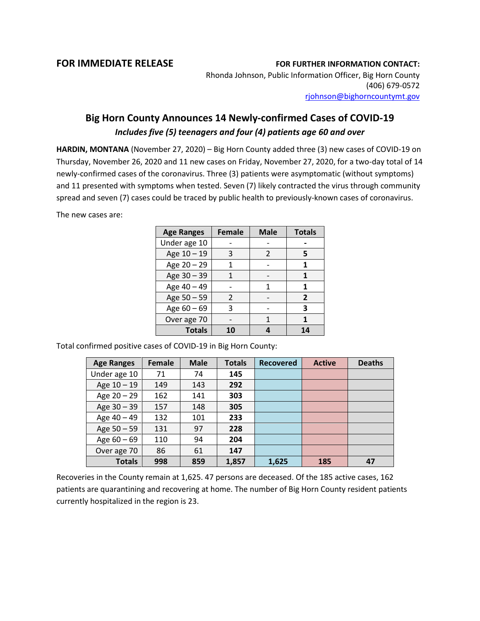## **FOR IMMEDIATE RELEASE FOR FURTHER INFORMATION CONTACT:**

Rhonda Johnson, Public Information Officer, Big Horn County (406) 679-0572 [rjohnson@bighorncountymt.gov](mailto:rjohnson@bighorncountymt.gov)

## **Big Horn County Announces 14 Newly-confirmed Cases of COVID-19** *Includes five (5) teenagers and four (4) patients age 60 and over*

**HARDIN, MONTANA** (November 27, 2020) – Big Horn County added three (3) new cases of COVID-19 on Thursday, November 26, 2020 and 11 new cases on Friday, November 27, 2020, for a two-day total of 14 newly-confirmed cases of the coronavirus. Three (3) patients were asymptomatic (without symptoms) and 11 presented with symptoms when tested. Seven (7) likely contracted the virus through community spread and seven (7) cases could be traced by public health to previously-known cases of coronavirus.

The new cases are:

| <b>Age Ranges</b> | <b>Female</b> | <b>Male</b> | <b>Totals</b>  |
|-------------------|---------------|-------------|----------------|
| Under age 10      |               |             |                |
| Age 10 - 19       | 3             | 2           | 5              |
| Age 20 - 29       |               |             | 1              |
| Age 30 - 39       |               |             | 1              |
| Age 40 - 49       |               |             | 1              |
| Age 50 - 59       | $\mathcal{P}$ |             | $\overline{2}$ |
| Age $60 - 69$     | 3             |             | 3              |
| Over age 70       |               |             |                |
| <b>Totals</b>     | 10            |             | 14             |

Total confirmed positive cases of COVID-19 in Big Horn County:

| <b>Age Ranges</b> | Female | <b>Male</b> | <b>Totals</b> | <b>Recovered</b> | <b>Active</b> | <b>Deaths</b> |
|-------------------|--------|-------------|---------------|------------------|---------------|---------------|
| Under age 10      | 71     | 74          | 145           |                  |               |               |
| Age $10 - 19$     | 149    | 143         | 292           |                  |               |               |
| Age $20 - 29$     | 162    | 141         | 303           |                  |               |               |
| Age 30 - 39       | 157    | 148         | 305           |                  |               |               |
| Age 40 - 49       | 132    | 101         | 233           |                  |               |               |
| Age $50 - 59$     | 131    | 97          | 228           |                  |               |               |
| Age $60 - 69$     | 110    | 94          | 204           |                  |               |               |
| Over age 70       | 86     | 61          | 147           |                  |               |               |
| <b>Totals</b>     | 998    | 859         | 1,857         | 1,625            | 185           | 47            |

Recoveries in the County remain at 1,625. 47 persons are deceased. Of the 185 active cases, 162 patients are quarantining and recovering at home. The number of Big Horn County resident patients currently hospitalized in the region is 23.